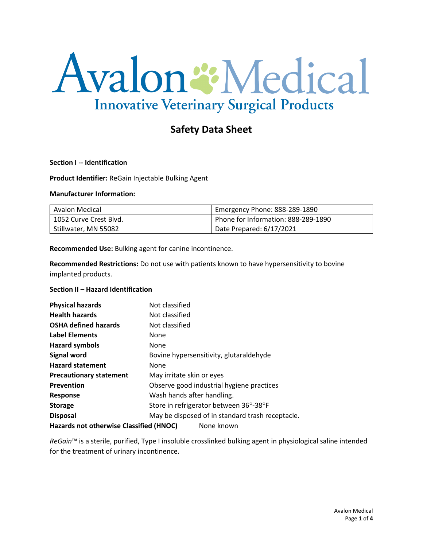# Avalon & Medical **Innovative Veterinary Surgical Products**

## **Safety Data Sheet**

#### **Section I -- Identification**

**Product Identifier:** ReGain Injectable Bulking Agent

#### **Manufacturer Information:**

| Avalon Medical         | Emergency Phone: 888-289-1890       |
|------------------------|-------------------------------------|
| 1052 Curve Crest Blvd. | Phone for Information: 888-289-1890 |
| Stillwater, MN 55082   | Date Prepared: 6/17/2021            |

**Recommended Use:** Bulking agent for canine incontinence.

**Recommended Restrictions:** Do not use with patients known to have hypersensitivity to bovine implanted products.

### **Section II – Hazard Identification**

| <b>Physical hazards</b>                               | Not classified                                   |
|-------------------------------------------------------|--------------------------------------------------|
| <b>Health hazards</b>                                 | Not classified                                   |
| <b>OSHA defined hazards</b>                           | Not classified                                   |
| <b>Label Elements</b>                                 | None                                             |
| <b>Hazard symbols</b>                                 | None                                             |
| <b>Signal word</b>                                    | Bovine hypersensitivity, glutaraldehyde          |
| <b>Hazard statement</b>                               | None                                             |
| <b>Precautionary statement</b>                        | May irritate skin or eyes                        |
| Prevention                                            | Observe good industrial hygiene practices        |
| <b>Response</b>                                       | Wash hands after handling.                       |
| <b>Storage</b>                                        | Store in refrigerator between 36°-38°F           |
| <b>Disposal</b>                                       | May be disposed of in standard trash receptacle. |
| Hazards not otherwise Classified (HNOC)<br>None known |                                                  |

*ReGain*™ is a sterile, purified, Type I insoluble crosslinked bulking agent in physiological saline intended for the treatment of urinary incontinence.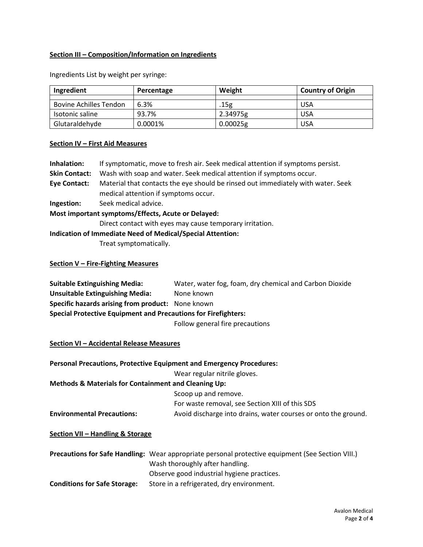## **Section III – Composition/Information on Ingredients**

| Ingredient                    | Percentage | Weight   | <b>Country of Origin</b> |
|-------------------------------|------------|----------|--------------------------|
|                               |            |          |                          |
| <b>Bovine Achilles Tendon</b> | 6.3%       | .15g     | <b>USA</b>               |
| Isotonic saline               | 93.7%      | 2.34975g | <b>USA</b>               |
| Glutaraldehyde                | 0.0001%    | 0.00025g | <b>USA</b>               |

Ingredients List by weight per syringe:

## **Section IV – First Aid Measures**

| Inhalation:                          | If symptomatic, move to fresh air. Seek medical attention if symptoms persist.                                           |
|--------------------------------------|--------------------------------------------------------------------------------------------------------------------------|
| <b>Skin Contact:</b>                 | Wash with soap and water. Seek medical attention if symptoms occur.                                                      |
| <b>Eye Contact:</b>                  | Material that contacts the eye should be rinsed out immediately with water. Seek<br>medical attention if symptoms occur. |
| Ingestion:                           | Seek medical advice.                                                                                                     |
|                                      | Most important symptoms/Effects, Acute or Delayed:                                                                       |
|                                      | Direct contact with eyes may cause temporary irritation.                                                                 |
|                                      | <b>Indication of Immediate Need of Medical/Special Attention:</b>                                                        |
|                                      | Treat symptomatically.                                                                                                   |
| Section $V$ – Fire-Fighting Measures |                                                                                                                          |

| <b>Suitable Extinguishing Media:</b>                                  | Water, water fog, foam, dry chemical and Carbon Dioxide |  |
|-----------------------------------------------------------------------|---------------------------------------------------------|--|
| Unsuitable Extinguishing Media:                                       | None known                                              |  |
| Specific hazards arising from product: None known                     |                                                         |  |
| <b>Special Protective Equipment and Precautions for Firefighters:</b> |                                                         |  |
|                                                                       | Follow general fire precautions                         |  |

## **Section VI – Accidental Release Measures**

|                                                                 | <b>Personal Precautions, Protective Equipment and Emergency Procedures:</b> |
|-----------------------------------------------------------------|-----------------------------------------------------------------------------|
|                                                                 | Wear regular nitrile gloves.                                                |
| <b>Methods &amp; Materials for Containment and Cleaning Up:</b> |                                                                             |
|                                                                 | Scoop up and remove.                                                        |
|                                                                 | For waste removal, see Section XIII of this SDS                             |
| <b>Environmental Precautions:</b>                               | Avoid discharge into drains, water courses or onto the ground.              |
| Section VII - Handling & Storage                                |                                                                             |

|                                     | <b>Precautions for Safe Handling:</b> Wear appropriate personal protective equipment (See Section VIII.) |
|-------------------------------------|----------------------------------------------------------------------------------------------------------|
|                                     | Wash thoroughly after handling.                                                                          |
|                                     | Observe good industrial hygiene practices.                                                               |
| <b>Conditions for Safe Storage:</b> | Store in a refrigerated, dry environment.                                                                |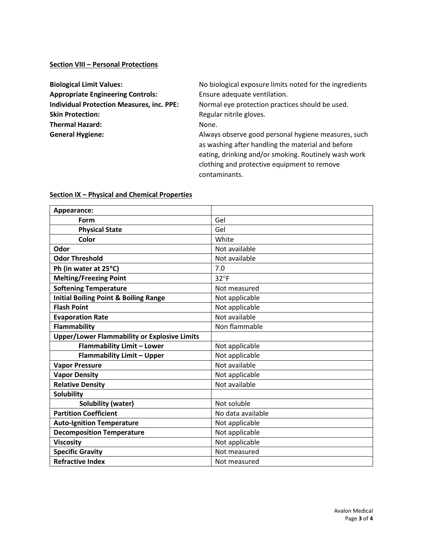### **Section VIII – Personal Protections**

| <b>Biological Limit Values:</b>                  |  |
|--------------------------------------------------|--|
| <b>Appropriate Engineering Controls:</b>         |  |
| <b>Individual Protection Measures, inc. PPE:</b> |  |
| <b>Skin Protection:</b>                          |  |
| <b>Thermal Hazard:</b>                           |  |
| <b>General Hygiene:</b>                          |  |

No biological exposure limits noted for the ingredients **Appropriate Engineering Controls:** Ensure adequate ventilation.

**Normal eye protection practices should be used. Regular nitrile gloves.** 

None.

**General Hygiene:** Always observe good personal hygiene measures, such as washing after handling the material and before eating, drinking and/or smoking. Routinely wash work clothing and protective equipment to remove contaminants.

| Appearance:                                         |                   |
|-----------------------------------------------------|-------------------|
| Form                                                | Gel               |
| <b>Physical State</b>                               | Gel               |
| Color                                               | White             |
| Odor                                                | Not available     |
| <b>Odor Threshold</b>                               | Not available     |
| Ph (in water at 25°C)                               | 7.0               |
| <b>Melting/Freezing Point</b>                       | $32^{\circ}F$     |
| <b>Softening Temperature</b>                        | Not measured      |
| <b>Initial Boiling Point &amp; Boiling Range</b>    | Not applicable    |
| <b>Flash Point</b>                                  | Not applicable    |
| <b>Evaporation Rate</b>                             | Not available     |
| <b>Flammability</b>                                 | Non flammable     |
| <b>Upper/Lower Flammability or Explosive Limits</b> |                   |
| <b>Flammability Limit - Lower</b>                   | Not applicable    |
| <b>Flammability Limit - Upper</b>                   | Not applicable    |
| <b>Vapor Pressure</b>                               | Not available     |
| <b>Vapor Density</b>                                | Not applicable    |
| <b>Relative Density</b>                             | Not available     |
| <b>Solubility</b>                                   |                   |
| <b>Solubility (water)</b>                           | Not soluble       |
| <b>Partition Coefficient</b>                        | No data available |
| <b>Auto-Ignition Temperature</b>                    | Not applicable    |
| <b>Decomposition Temperature</b>                    | Not applicable    |
| <b>Viscosity</b>                                    | Not applicable    |
| <b>Specific Gravity</b>                             | Not measured      |
| <b>Refractive Index</b>                             | Not measured      |

#### **Section IX – Physical and Chemical Properties**